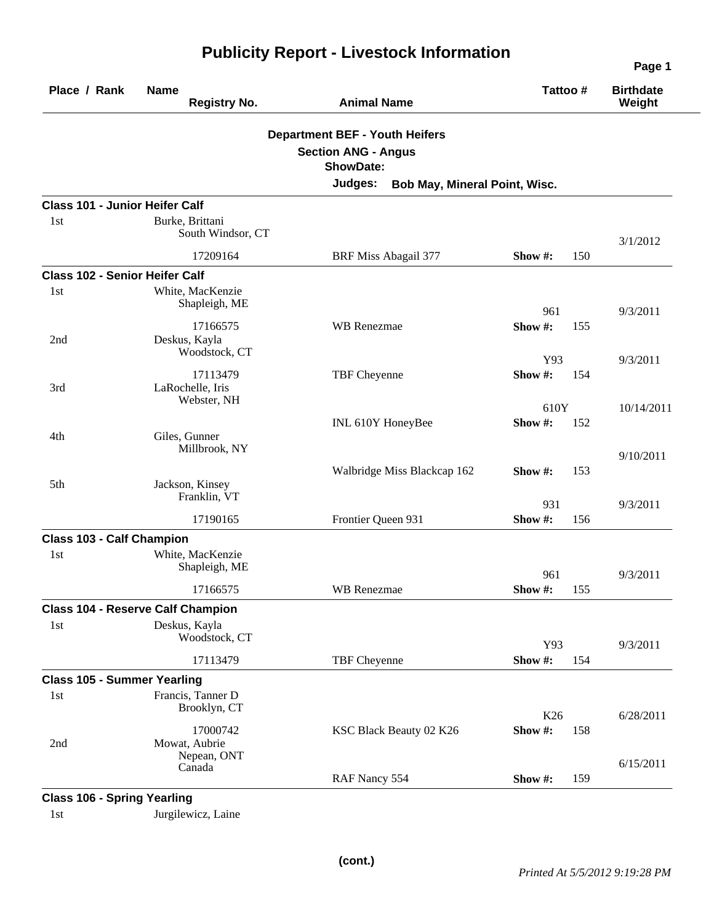| Place / Rank                          | <b>Name</b><br><b>Registry No.</b>         | <b>Animal Name</b>                                                                      | Tattoo#               | <b>Birthdate</b><br>Weight |
|---------------------------------------|--------------------------------------------|-----------------------------------------------------------------------------------------|-----------------------|----------------------------|
|                                       |                                            | <b>Department BEF - Youth Heifers</b><br><b>Section ANG - Angus</b><br><b>ShowDate:</b> |                       |                            |
|                                       |                                            | Judges:<br>Bob May, Mineral Point, Wisc.                                                |                       |                            |
| <b>Class 101 - Junior Heifer Calf</b> |                                            |                                                                                         |                       |                            |
| 1st                                   | Burke, Brittani<br>South Windsor, CT       |                                                                                         |                       | 3/1/2012                   |
|                                       | 17209164                                   | <b>BRF Miss Abagail 377</b>                                                             | Show #:<br>150        |                            |
| <b>Class 102 - Senior Heifer Calf</b> |                                            |                                                                                         |                       |                            |
| 1st                                   | White, MacKenzie<br>Shapleigh, ME          |                                                                                         | 961                   | 9/3/2011                   |
| 2nd                                   | 17166575<br>Deskus, Kayla<br>Woodstock, CT | <b>WB</b> Renezmae                                                                      | Show $#$ :<br>155     |                            |
| 3rd                                   | 17113479<br>LaRochelle, Iris               | TBF Cheyenne                                                                            | Y93<br>Show#:<br>154  | 9/3/2011                   |
| 4th                                   | Webster, NH<br>Giles, Gunner               | INL 610Y HoneyBee                                                                       | 610Y<br>Show#:<br>152 | 10/14/2011                 |
|                                       | Millbrook, NY                              | Walbridge Miss Blackcap 162                                                             | Show #:<br>153        | 9/10/2011                  |
| 5th                                   | Jackson, Kinsey<br>Franklin, VT            |                                                                                         | 931                   | 9/3/2011                   |
|                                       | 17190165                                   | Frontier Queen 931                                                                      | Show #:<br>156        |                            |
| <b>Class 103 - Calf Champion</b>      |                                            |                                                                                         |                       |                            |
| 1st                                   | White, MacKenzie<br>Shapleigh, ME          |                                                                                         | 961                   | 9/3/2011                   |
|                                       | 17166575                                   | <b>WB</b> Renezmae                                                                      | Show #:<br>155        |                            |
|                                       | <b>Class 104 - Reserve Calf Champion</b>   |                                                                                         |                       |                            |
| 1st                                   | Deskus, Kayla<br>Woodstock, CT             |                                                                                         | Y93                   | 9/3/2011                   |
|                                       | 17113479                                   | TBF Cheyenne                                                                            | Show #:<br>154        |                            |
| <b>Class 105 - Summer Yearling</b>    |                                            |                                                                                         |                       |                            |
| 1st                                   | Francis, Tanner D<br>Brooklyn, CT          |                                                                                         | K26                   | 6/28/2011                  |
| 2nd                                   | 17000742<br>Mowat, Aubrie                  | KSC Black Beauty 02 K26                                                                 | Show#:<br>158         |                            |
|                                       | Nepean, ONT<br>Canada                      | RAF Nancy 554                                                                           | Show #:<br>159        | 6/15/2011                  |
| <b>Class 106 - Spring Yearling</b>    |                                            |                                                                                         |                       |                            |

## **Publicity Report - Livestock Information**

1st Jurgilewicz, Laine

**Page 1**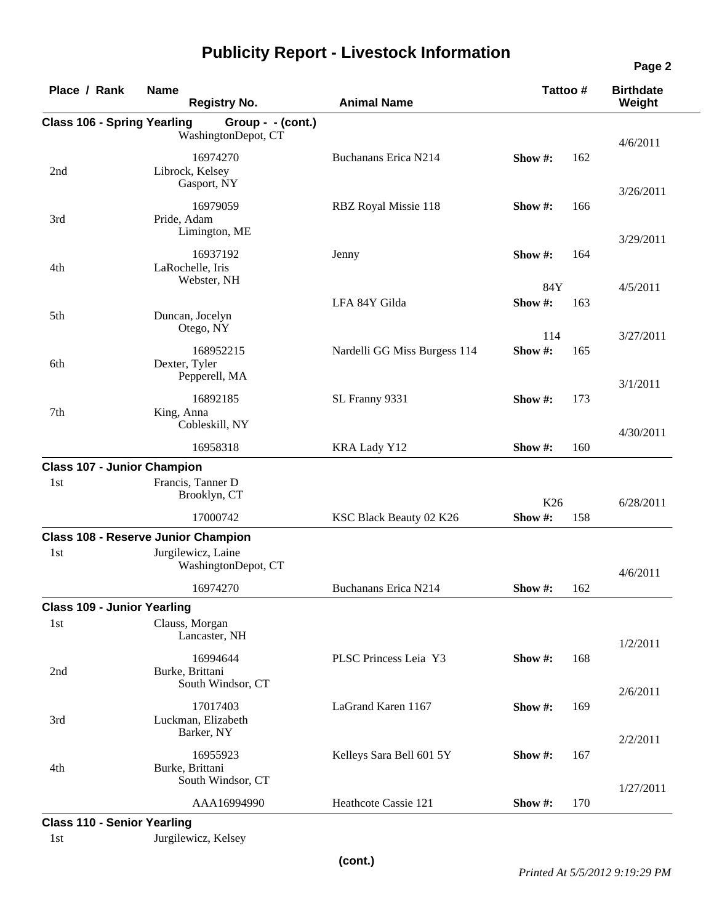| Place / Rank                       | <b>Name</b><br><b>Registry No.</b>         | <b>Animal Name</b>           | Tattoo #        |     | <b>Birthdate</b><br>Weight |
|------------------------------------|--------------------------------------------|------------------------------|-----------------|-----|----------------------------|
| <b>Class 106 - Spring Yearling</b> | Group - $-(\text{cont.})$                  |                              |                 |     |                            |
|                                    | WashingtonDepot, CT                        |                              |                 |     | 4/6/2011                   |
| 2nd                                | 16974270<br>Librock, Kelsey                | Buchanans Erica N214         | Show #:         | 162 |                            |
|                                    | Gasport, NY                                |                              |                 |     | 3/26/2011                  |
| 3rd                                | 16979059<br>Pride, Adam<br>Limington, ME   | RBZ Royal Missie 118         | Show #:         | 166 |                            |
|                                    | 16937192                                   | Jenny                        | Show #:         | 164 | 3/29/2011                  |
| 4th                                | LaRochelle, Iris<br>Webster, NH            |                              |                 |     |                            |
|                                    |                                            |                              | 84Y             |     | 4/5/2011                   |
| 5th                                | Duncan, Jocelyn                            | LFA 84Y Gilda                | Show#:          | 163 |                            |
|                                    | Otego, NY                                  |                              | 114             |     | 3/27/2011                  |
| 6th                                | 168952215<br>Dexter, Tyler                 | Nardelli GG Miss Burgess 114 | Show#:          | 165 |                            |
|                                    | Pepperell, MA                              |                              |                 |     | 3/1/2011                   |
| 7th                                | 16892185<br>King, Anna<br>Cobleskill, NY   | SL Franny 9331               | Show #:         | 173 |                            |
|                                    | 16958318                                   | KRA Lady Y12                 | Show#:          | 160 | 4/30/2011                  |
| <b>Class 107 - Junior Champion</b> |                                            |                              |                 |     |                            |
| 1 <sub>st</sub>                    | Francis, Tanner D                          |                              |                 |     |                            |
|                                    | Brooklyn, CT                               |                              | K <sub>26</sub> |     | 6/28/2011                  |
|                                    | 17000742                                   | KSC Black Beauty 02 K26      | Show#:          | 158 |                            |
|                                    | <b>Class 108 - Reserve Junior Champion</b> |                              |                 |     |                            |
| 1 <sub>st</sub>                    | Jurgilewicz, Laine<br>WashingtonDepot, CT  |                              |                 |     | 4/6/2011                   |
|                                    | 16974270                                   | <b>Buchanans Erica N214</b>  | Show #:         | 162 |                            |
| <b>Class 109 - Junior Yearling</b> |                                            |                              |                 |     |                            |
| 1st                                | Clauss, Morgan<br>Lancaster, NH            |                              |                 |     |                            |
|                                    |                                            |                              |                 |     | 1/2/2011                   |
| 2nd                                | 16994644<br>Burke, Brittani                | PLSC Princess Leia Y3        | Show#:          | 168 |                            |
|                                    | South Windsor, CT                          |                              |                 |     | 2/6/2011                   |
| 3rd                                | 17017403<br>Luckman, Elizabeth             | LaGrand Karen 1167           | Show #:         | 169 |                            |
|                                    | Barker, NY                                 |                              |                 |     | 2/2/2011                   |
|                                    | 16955923                                   | Kelleys Sara Bell 601 5Y     | Show #:         | 167 |                            |
| 4th                                | Burke, Brittani<br>South Windsor, CT       |                              |                 |     |                            |
|                                    |                                            | Heathcote Cassie 121         | Show #:         |     | 1/27/2011                  |
| <b>Class 110 - Senior Yearling</b> | AAA16994990                                |                              |                 | 170 |                            |

## **Publicity Report - Livestock Information**

1st Jurgilewicz, Kelsey

**Page 2**